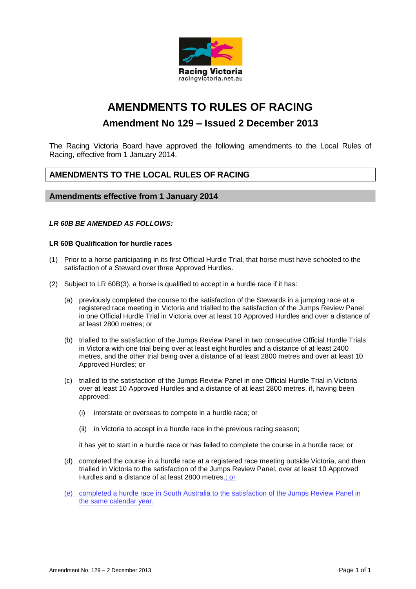

# **AMENDMENTS TO RULES OF RACING**

# **Amendment No 129 – Issued 2 December 2013**

The Racing Victoria Board have approved the following amendments to the Local Rules of Racing, effective from 1 January 2014.

## **AMENDMENTS TO THE LOCAL RULES OF RACING**

### **Amendments effective from 1 January 2014**

#### *LR 60B BE AMENDED AS FOLLOWS:*

### **LR 60B Qualification for hurdle races**

- (1) Prior to a horse participating in its first Official Hurdle Trial, that horse must have schooled to the satisfaction of a Steward over three Approved Hurdles.
- (2) Subject to LR 60B(3), a horse is qualified to accept in a hurdle race if it has:
	- (a) previously completed the course to the satisfaction of the Stewards in a jumping race at a registered race meeting in Victoria and trialled to the satisfaction of the Jumps Review Panel in one Official Hurdle Trial in Victoria over at least 10 Approved Hurdles and over a distance of at least 2800 metres; or
	- (b) trialled to the satisfaction of the Jumps Review Panel in two consecutive Official Hurdle Trials in Victoria with one trial being over at least eight hurdles and a distance of at least 2400 metres, and the other trial being over a distance of at least 2800 metres and over at least 10 Approved Hurdles; or
	- (c) trialled to the satisfaction of the Jumps Review Panel in one Official Hurdle Trial in Victoria over at least 10 Approved Hurdles and a distance of at least 2800 metres, if, having been approved:
		- (i) interstate or overseas to compete in a hurdle race; or
		- (ii) in Victoria to accept in a hurdle race in the previous racing season;

it has yet to start in a hurdle race or has failed to complete the course in a hurdle race; or

(d) completed the course in a hurdle race at a registered race meeting outside Victoria, and then trialled in Victoria to the satisfaction of the Jumps Review Panel, over at least 10 Approved Hurdles and a distance of at least 2800 metres.; or

(e) completed a hurdle race in South Australia to the satisfaction of the Jumps Review Panel in the same calendar year.